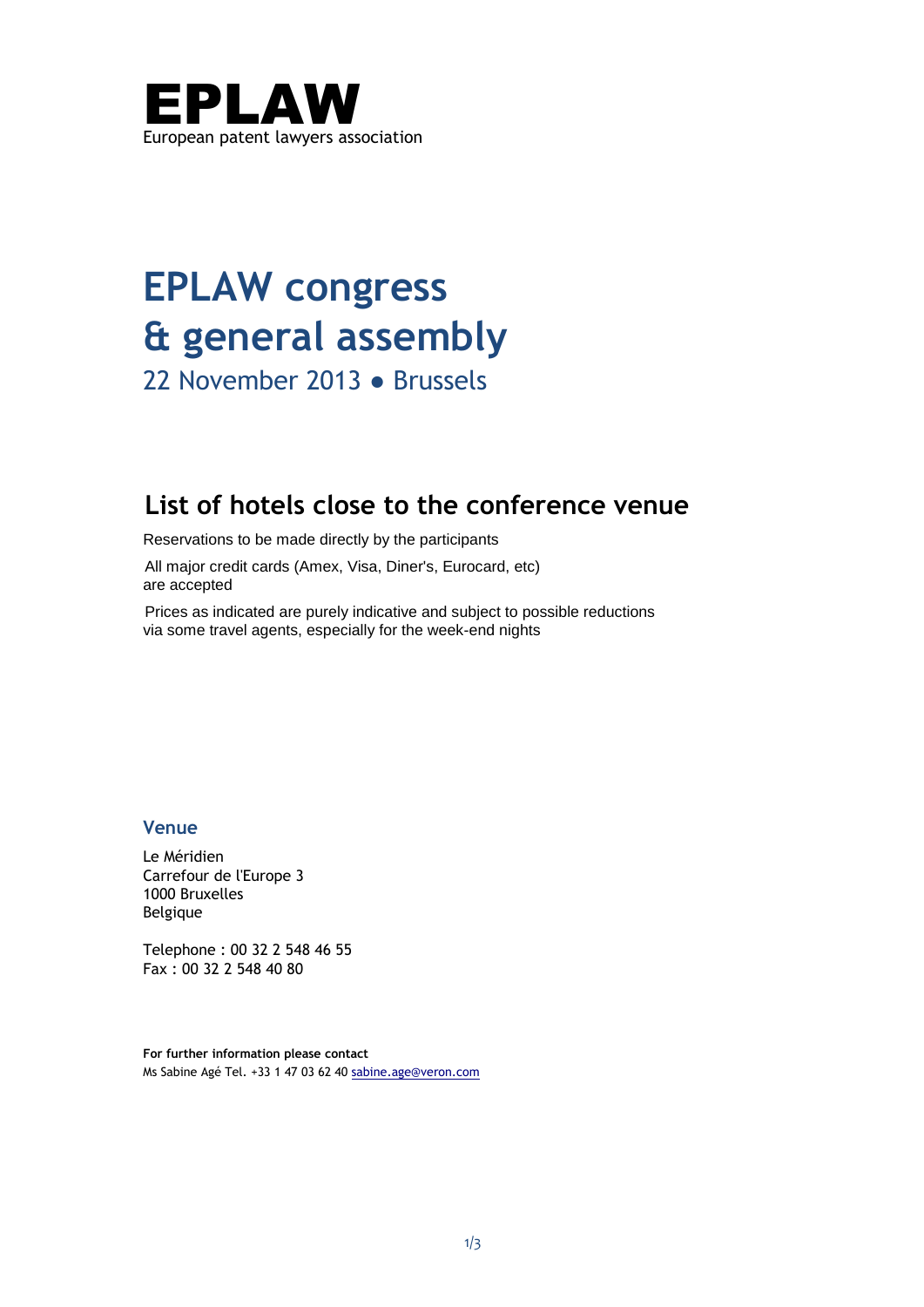

# **EPLAW congress & general assembly**

22 November 2013 ● Brussels

# **List of hotels close to the conference venue**

Reservations to be made directly by the participants

All major credit cards (Amex, Visa, Diner's, Eurocard, etc) are accepted

Prices as indicated are purely indicative and subject to possible reductions via some travel agents, especially for the week-end nights

# **Venue**

Le Méridien Carrefour de l'Europe 3 1000 Bruxelles Belgique

Telephone : 00 32 2 548 46 55 Fax : 00 32 2 548 40 80

**For further information please contact**  Ms Sabine Agé Tel. +33 1 47 03 62 40 [sabine.age@veron.com](mailto:sabine.age@veron.com)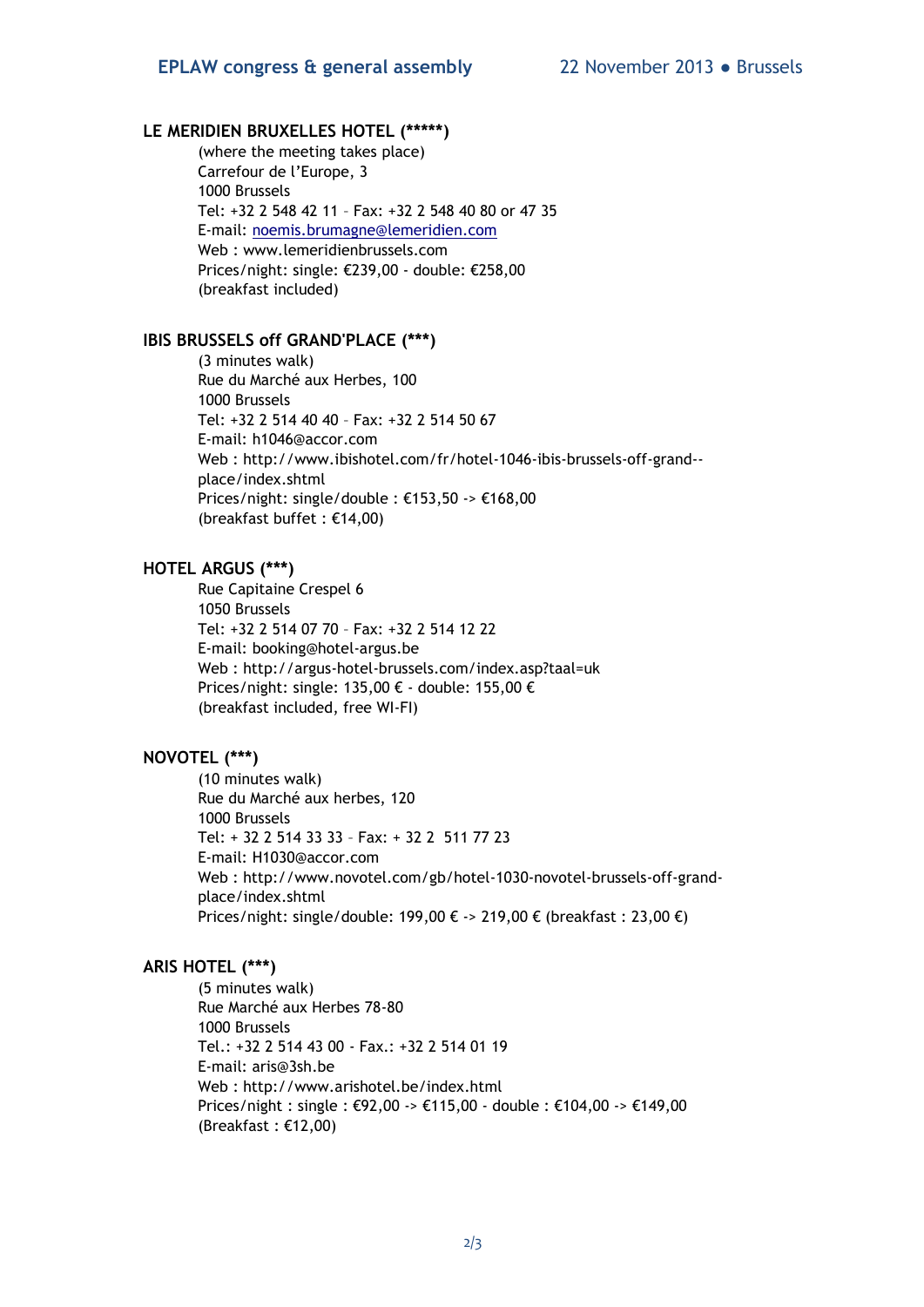#### **LE MERIDIEN BRUXELLES HOTEL (\*\*\*\*\*)**

(where the meeting takes place) Carrefour de l'Europe, 3 1000 Brussels Tel: +32 2 548 42 11 – Fax: +32 2 548 40 80 or 47 35 E-mail: [noemis.brumagne@lemeridien.com](mailto:noemis.brumagne@lemeridien.com) Web : [www.lemeridienbrussels.com](http://www.lemeridienbrussels.com/)  Prices/night: single: €239,00 - double: €258,00 (breakfast included)

#### **IBIS BRUSSELS off GRAND'PLACE (\*\*\*)**

(3 minutes walk) Rue du Marché aux Herbes, 100 1000 Brussels Tel: +32 2 514 40 40 – Fax: +32 2 514 50 67 E-mail: [h1046@accor.com](mailto:h1046@accor.com)  Web : [http://www.ibishotel.com/fr/hotel-1046-ibis-brussels-off-grand-](http://www.ibishotel.com/fr/hotel-1046-ibis-brussels-off-grand--place/index.shtml) [place/index.shtml](http://www.ibishotel.com/fr/hotel-1046-ibis-brussels-off-grand--place/index.shtml) Prices/night: single/double : €153,50 -> €168,00 (breakfast buffet : €14,00)

# **HOTEL ARGUS (\*\*\*)**

Rue Capitaine Crespel 6 1050 Brussels Tel: +32 2 514 07 70 – Fax: +32 2 514 12 22 E-mail: [booking@hotel-argus.be](mailto:booking@hotel-argus.be)  Web :<http://argus-hotel-brussels.com/index.asp?taal=uk> Prices/night: single: 135,00 € - double: 155,00 € (breakfast included, free WI-FI)

# **NOVOTEL (\*\*\*)**

(10 minutes walk) Rue du Marché aux herbes, 120 1000 Brussels Tel: + 32 2 514 33 33 – Fax: + 32 2 511 77 23 E-mail: [H1030@accor.com](mailto:H1030@accor.com)  Web : [http://www.novotel.com/gb/hotel-1030-novotel-brussels-off-grand](http://www.novotel.com/gb/hotel-1030-novotel-brussels-off-grand-place/index.shtml)[place/index.shtml](http://www.novotel.com/gb/hotel-1030-novotel-brussels-off-grand-place/index.shtml)  Prices/night: single/double: 199,00 € -> 219,00 € (breakfast : 23,00 €)

#### **ARIS HOTEL (\*\*\*)**

(5 minutes walk) Rue Marché aux Herbes 78-80 1000 Brussels Tel.: +32 2 514 43 00 - Fax.: +32 2 514 01 19 E-mail: [aris@3sh.be](mailto:aris@3sh.be) Web :<http://www.arishotel.be/index.html> Prices/night : single : €92,00 -> €115,00 - double : €104,00 -> €149,00 (Breakfast : €12,00)